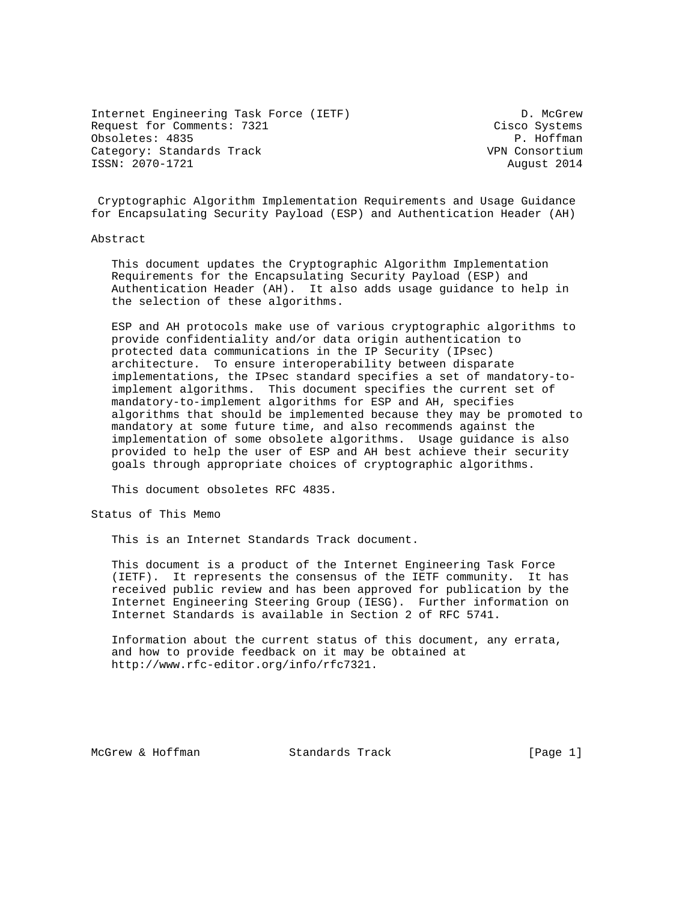Internet Engineering Task Force (IETF) D. McGrew Request for Comments: 7321 Cisco Systems Obsoletes: 4835 P. Hoffman Category: Standards Track VPN Consortium ISSN: 2070-1721 August 2014

 Cryptographic Algorithm Implementation Requirements and Usage Guidance for Encapsulating Security Payload (ESP) and Authentication Header (AH)

#### Abstract

 This document updates the Cryptographic Algorithm Implementation Requirements for the Encapsulating Security Payload (ESP) and Authentication Header (AH). It also adds usage guidance to help in the selection of these algorithms.

 ESP and AH protocols make use of various cryptographic algorithms to provide confidentiality and/or data origin authentication to protected data communications in the IP Security (IPsec) architecture. To ensure interoperability between disparate implementations, the IPsec standard specifies a set of mandatory-to implement algorithms. This document specifies the current set of mandatory-to-implement algorithms for ESP and AH, specifies algorithms that should be implemented because they may be promoted to mandatory at some future time, and also recommends against the implementation of some obsolete algorithms. Usage guidance is also provided to help the user of ESP and AH best achieve their security goals through appropriate choices of cryptographic algorithms.

This document obsoletes RFC 4835.

Status of This Memo

This is an Internet Standards Track document.

 This document is a product of the Internet Engineering Task Force (IETF). It represents the consensus of the IETF community. It has received public review and has been approved for publication by the Internet Engineering Steering Group (IESG). Further information on Internet Standards is available in Section 2 of RFC 5741.

 Information about the current status of this document, any errata, and how to provide feedback on it may be obtained at http://www.rfc-editor.org/info/rfc7321.

McGrew & Hoffman Standards Track [Page 1]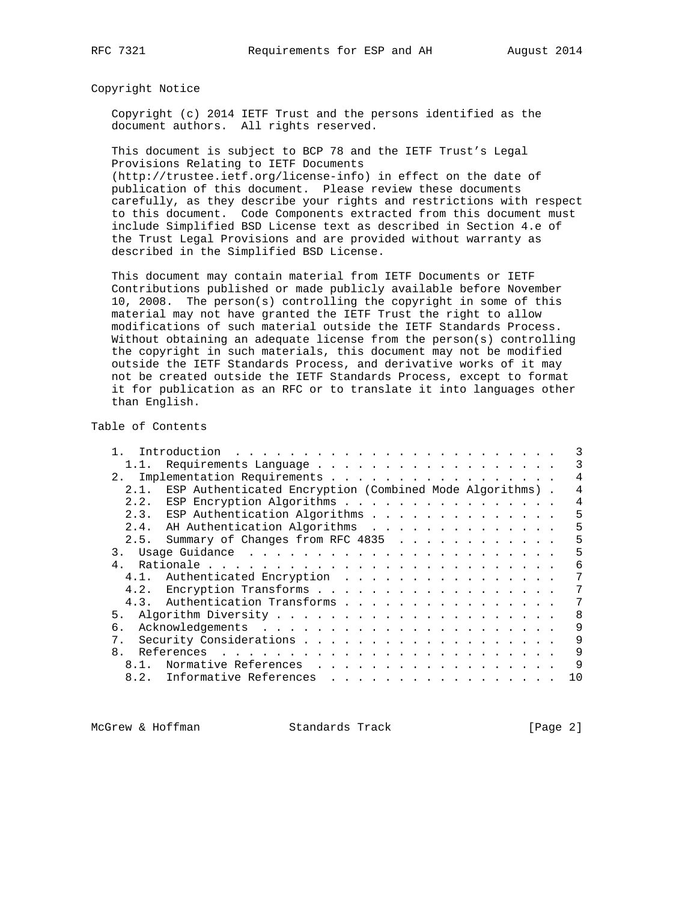Copyright Notice

 Copyright (c) 2014 IETF Trust and the persons identified as the document authors. All rights reserved.

 This document is subject to BCP 78 and the IETF Trust's Legal Provisions Relating to IETF Documents

 (http://trustee.ietf.org/license-info) in effect on the date of publication of this document. Please review these documents carefully, as they describe your rights and restrictions with respect to this document. Code Components extracted from this document must include Simplified BSD License text as described in Section 4.e of the Trust Legal Provisions and are provided without warranty as described in the Simplified BSD License.

 This document may contain material from IETF Documents or IETF Contributions published or made publicly available before November 10, 2008. The person(s) controlling the copyright in some of this material may not have granted the IETF Trust the right to allow modifications of such material outside the IETF Standards Process. Without obtaining an adequate license from the person(s) controlling the copyright in such materials, this document may not be modified outside the IETF Standards Process, and derivative works of it may not be created outside the IETF Standards Process, except to format it for publication as an RFC or to translate it into languages other than English.

Table of Contents

|                                | 1.1. Requirements Language                               |  |  |  |  |  |  |  |  | 3              |
|--------------------------------|----------------------------------------------------------|--|--|--|--|--|--|--|--|----------------|
| 2. Implementation Requirements |                                                          |  |  |  |  |  |  |  |  | 4              |
| 2.1.                           | ESP Authenticated Encryption (Combined Mode Algorithms). |  |  |  |  |  |  |  |  | 4              |
| 2.2.                           | ESP Encryption Algorithms                                |  |  |  |  |  |  |  |  | $\overline{4}$ |
|                                | 2.3. ESP Authentication Algorithms                       |  |  |  |  |  |  |  |  | 5              |
|                                | 2.4. AH Authentication Algorithms                        |  |  |  |  |  |  |  |  | 5              |
| 2.5.                           | Summary of Changes from RFC 4835                         |  |  |  |  |  |  |  |  | 5              |
|                                |                                                          |  |  |  |  |  |  |  |  | 5              |
| 4 <sub>1</sub>                 |                                                          |  |  |  |  |  |  |  |  | 6              |
| 4.1.                           | Authenticated Encryption                                 |  |  |  |  |  |  |  |  | 7              |
|                                | 4.2. Encryption Transforms                               |  |  |  |  |  |  |  |  |                |
|                                | 4.3. Authentication Transforms                           |  |  |  |  |  |  |  |  | 7              |
|                                |                                                          |  |  |  |  |  |  |  |  | 8              |
| რ.                             |                                                          |  |  |  |  |  |  |  |  | 9              |
| $7$ .                          |                                                          |  |  |  |  |  |  |  |  | 9              |
| 8.                             |                                                          |  |  |  |  |  |  |  |  | 9              |
| $8.1$ .                        | Normative References                                     |  |  |  |  |  |  |  |  | 9              |
| 8.2.                           | Informative References                                   |  |  |  |  |  |  |  |  | 10             |
|                                |                                                          |  |  |  |  |  |  |  |  |                |

McGrew & Hoffman Standards Track [Page 2]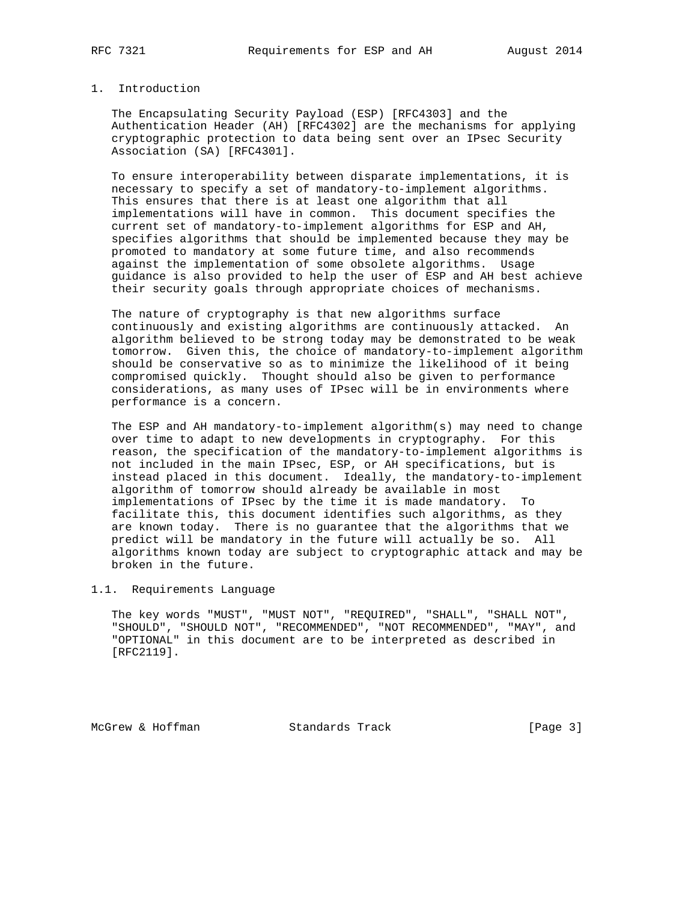## 1. Introduction

 The Encapsulating Security Payload (ESP) [RFC4303] and the Authentication Header (AH) [RFC4302] are the mechanisms for applying cryptographic protection to data being sent over an IPsec Security Association (SA) [RFC4301].

 To ensure interoperability between disparate implementations, it is necessary to specify a set of mandatory-to-implement algorithms. This ensures that there is at least one algorithm that all implementations will have in common. This document specifies the current set of mandatory-to-implement algorithms for ESP and AH, specifies algorithms that should be implemented because they may be promoted to mandatory at some future time, and also recommends against the implementation of some obsolete algorithms. Usage guidance is also provided to help the user of ESP and AH best achieve their security goals through appropriate choices of mechanisms.

 The nature of cryptography is that new algorithms surface continuously and existing algorithms are continuously attacked. An algorithm believed to be strong today may be demonstrated to be weak tomorrow. Given this, the choice of mandatory-to-implement algorithm should be conservative so as to minimize the likelihood of it being compromised quickly. Thought should also be given to performance considerations, as many uses of IPsec will be in environments where performance is a concern.

 The ESP and AH mandatory-to-implement algorithm(s) may need to change over time to adapt to new developments in cryptography. For this reason, the specification of the mandatory-to-implement algorithms is not included in the main IPsec, ESP, or AH specifications, but is instead placed in this document. Ideally, the mandatory-to-implement algorithm of tomorrow should already be available in most implementations of IPsec by the time it is made mandatory. To facilitate this, this document identifies such algorithms, as they are known today. There is no guarantee that the algorithms that we predict will be mandatory in the future will actually be so. All algorithms known today are subject to cryptographic attack and may be broken in the future.

## 1.1. Requirements Language

 The key words "MUST", "MUST NOT", "REQUIRED", "SHALL", "SHALL NOT", "SHOULD", "SHOULD NOT", "RECOMMENDED", "NOT RECOMMENDED", "MAY", and "OPTIONAL" in this document are to be interpreted as described in [RFC2119].

McGrew & Hoffman Standards Track [Page 3]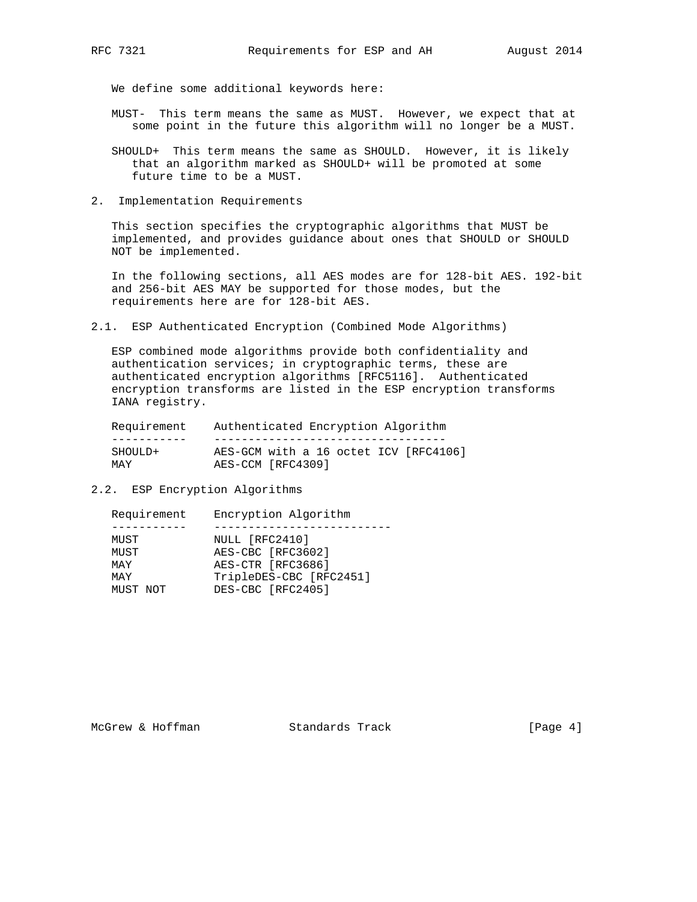We define some additional keywords here:

- MUST- This term means the same as MUST. However, we expect that at some point in the future this algorithm will no longer be a MUST.
- SHOULD+ This term means the same as SHOULD. However, it is likely that an algorithm marked as SHOULD+ will be promoted at some future time to be a MUST.
- 2. Implementation Requirements

 This section specifies the cryptographic algorithms that MUST be implemented, and provides guidance about ones that SHOULD or SHOULD NOT be implemented.

 In the following sections, all AES modes are for 128-bit AES. 192-bit and 256-bit AES MAY be supported for those modes, but the requirements here are for 128-bit AES.

2.1. ESP Authenticated Encryption (Combined Mode Algorithms)

 ESP combined mode algorithms provide both confidentiality and authentication services; in cryptographic terms, these are authenticated encryption algorithms [RFC5116]. Authenticated encryption transforms are listed in the ESP encryption transforms IANA registry.

| Requirement | Authenticated Encryption Algorithm    |
|-------------|---------------------------------------|
|             |                                       |
| SHOULD+     | AES-GCM with a 16 octet ICV [RFC4106] |
| MAY         | AES-CCM [RFC4309]                     |

2.2. ESP Encryption Algorithms

| Requirement | Encryption Algorithm    |
|-------------|-------------------------|
|             |                         |
| MUST        | NULL [RFC2410]          |
| MUST        | AES-CBC [RFC3602]       |
| MAY         | AES-CTR [RFC3686]       |
| MAY         | TripleDES-CBC [RFC2451] |
| MUST NOT    | DES-CBC [RFC2405]       |
|             |                         |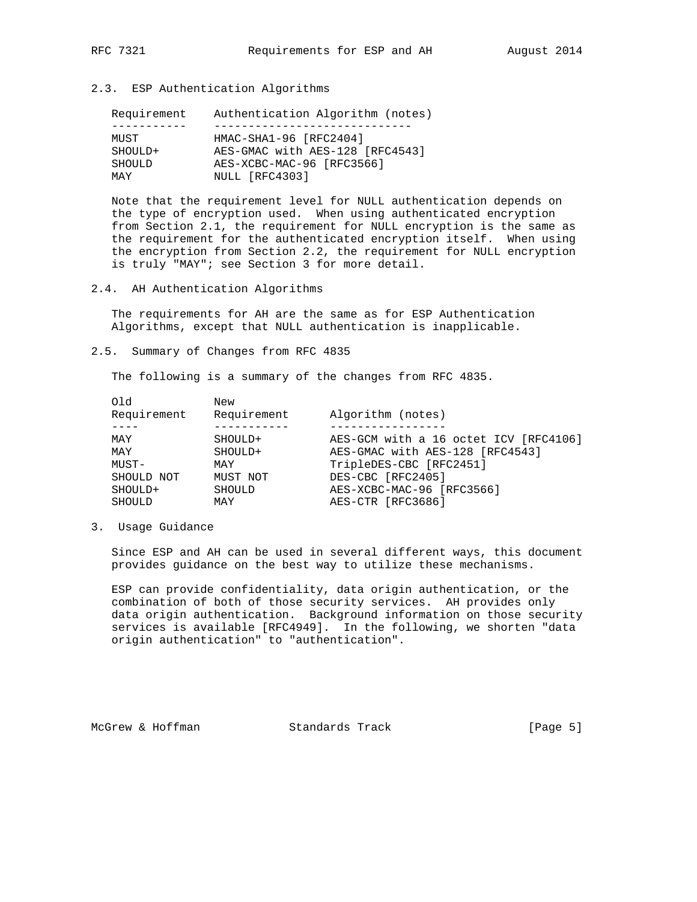2.3. ESP Authentication Algorithms

| Requirement   | Authentication Algorithm (notes) |
|---------------|----------------------------------|
|               |                                  |
| MUST          | HMAC-SHA1-96 [RFC2404]           |
| SHOULD+       | AES-GMAC with AES-128 [RFC4543]  |
| <b>SHOULD</b> | AES-XCBC-MAC-96 [RFC3566]        |
| MAY           | NULL [RFC4303]                   |

 Note that the requirement level for NULL authentication depends on the type of encryption used. When using authenticated encryption from Section 2.1, the requirement for NULL encryption is the same as the requirement for the authenticated encryption itself. When using the encryption from Section 2.2, the requirement for NULL encryption is truly "MAY"; see Section 3 for more detail.

2.4. AH Authentication Algorithms

 The requirements for AH are the same as for ESP Authentication Algorithms, except that NULL authentication is inapplicable.

2.5. Summary of Changes from RFC 4835

The following is a summary of the changes from RFC 4835.

| 6 LO          | New         |                                       |
|---------------|-------------|---------------------------------------|
| Requirement   | Requirement | Algorithm (notes)                     |
|               |             |                                       |
| MAY           | SHOULD+     | AES-GCM with a 16 octet ICV [RFC4106] |
| MAY           | SHOULD+     | AES-GMAC with AES-128 [RFC4543]       |
| MUST-         | MAY         | TripleDES-CBC [RFC2451]               |
| SHOULD NOT    | MUST NOT    | DES-CBC [RFC2405]                     |
| SHOULD+       | SHOULD      | AES-XCBC-MAC-96 [RFC3566]             |
| <b>SHOULD</b> | MAY         | AES-CTR [RFC3686]                     |
|               |             |                                       |

3. Usage Guidance

 Since ESP and AH can be used in several different ways, this document provides guidance on the best way to utilize these mechanisms.

 ESP can provide confidentiality, data origin authentication, or the combination of both of those security services. AH provides only data origin authentication. Background information on those security services is available [RFC4949]. In the following, we shorten "data origin authentication" to "authentication".

McGrew & Hoffman Standards Track [Page 5]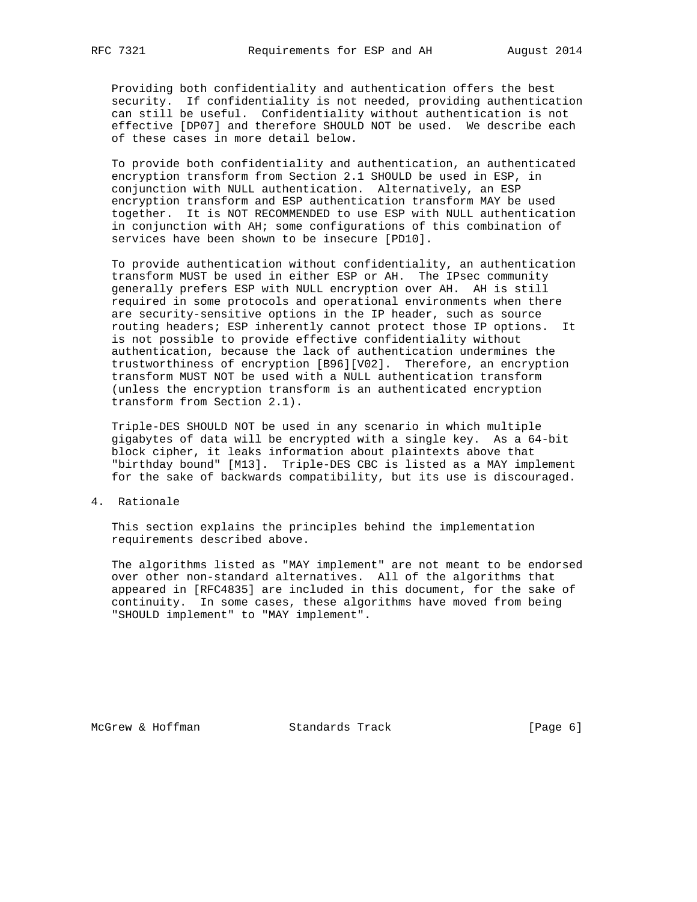Providing both confidentiality and authentication offers the best security. If confidentiality is not needed, providing authentication can still be useful. Confidentiality without authentication is not effective [DP07] and therefore SHOULD NOT be used. We describe each of these cases in more detail below.

 To provide both confidentiality and authentication, an authenticated encryption transform from Section 2.1 SHOULD be used in ESP, in conjunction with NULL authentication. Alternatively, an ESP encryption transform and ESP authentication transform MAY be used together. It is NOT RECOMMENDED to use ESP with NULL authentication in conjunction with AH; some configurations of this combination of services have been shown to be insecure [PD10].

 To provide authentication without confidentiality, an authentication transform MUST be used in either ESP or AH. The IPsec community generally prefers ESP with NULL encryption over AH. AH is still required in some protocols and operational environments when there are security-sensitive options in the IP header, such as source routing headers; ESP inherently cannot protect those IP options. It is not possible to provide effective confidentiality without authentication, because the lack of authentication undermines the trustworthiness of encryption [B96][V02]. Therefore, an encryption transform MUST NOT be used with a NULL authentication transform (unless the encryption transform is an authenticated encryption transform from Section 2.1).

 Triple-DES SHOULD NOT be used in any scenario in which multiple gigabytes of data will be encrypted with a single key. As a 64-bit block cipher, it leaks information about plaintexts above that "birthday bound" [M13]. Triple-DES CBC is listed as a MAY implement for the sake of backwards compatibility, but its use is discouraged.

4. Rationale

 This section explains the principles behind the implementation requirements described above.

 The algorithms listed as "MAY implement" are not meant to be endorsed over other non-standard alternatives. All of the algorithms that appeared in [RFC4835] are included in this document, for the sake of continuity. In some cases, these algorithms have moved from being "SHOULD implement" to "MAY implement".

McGrew & Hoffman Standards Track [Page 6]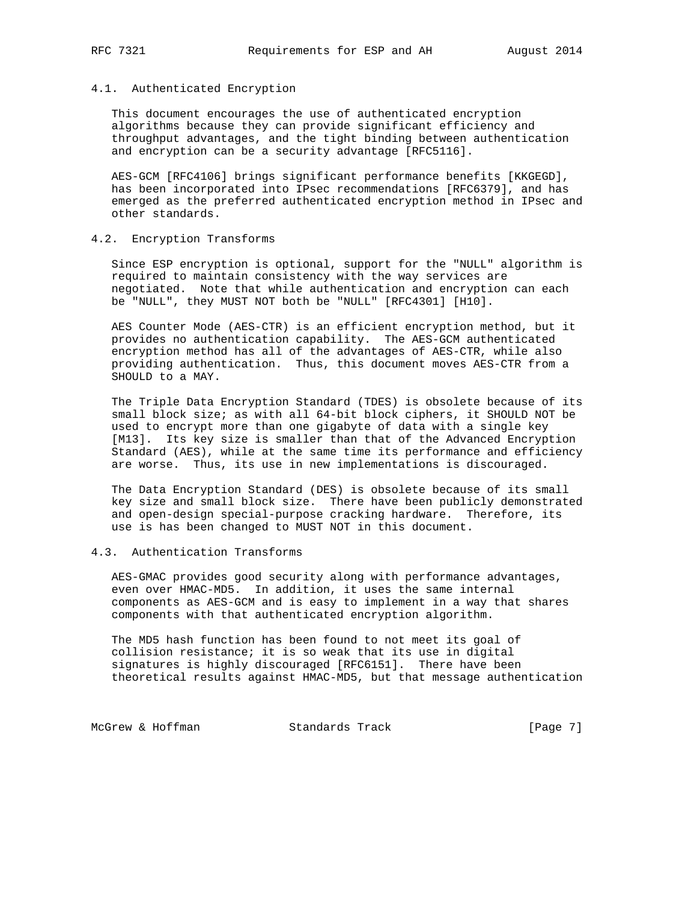### 4.1. Authenticated Encryption

 This document encourages the use of authenticated encryption algorithms because they can provide significant efficiency and throughput advantages, and the tight binding between authentication and encryption can be a security advantage [RFC5116].

 AES-GCM [RFC4106] brings significant performance benefits [KKGEGD], has been incorporated into IPsec recommendations [RFC6379], and has emerged as the preferred authenticated encryption method in IPsec and other standards.

# 4.2. Encryption Transforms

 Since ESP encryption is optional, support for the "NULL" algorithm is required to maintain consistency with the way services are negotiated. Note that while authentication and encryption can each be "NULL", they MUST NOT both be "NULL" [RFC4301] [H10].

 AES Counter Mode (AES-CTR) is an efficient encryption method, but it provides no authentication capability. The AES-GCM authenticated encryption method has all of the advantages of AES-CTR, while also providing authentication. Thus, this document moves AES-CTR from a SHOULD to a MAY.

 The Triple Data Encryption Standard (TDES) is obsolete because of its small block size; as with all 64-bit block ciphers, it SHOULD NOT be used to encrypt more than one gigabyte of data with a single key [M13]. Its key size is smaller than that of the Advanced Encryption Standard (AES), while at the same time its performance and efficiency are worse. Thus, its use in new implementations is discouraged.

 The Data Encryption Standard (DES) is obsolete because of its small key size and small block size. There have been publicly demonstrated and open-design special-purpose cracking hardware. Therefore, its use is has been changed to MUST NOT in this document.

## 4.3. Authentication Transforms

 AES-GMAC provides good security along with performance advantages, even over HMAC-MD5. In addition, it uses the same internal components as AES-GCM and is easy to implement in a way that shares components with that authenticated encryption algorithm.

 The MD5 hash function has been found to not meet its goal of collision resistance; it is so weak that its use in digital signatures is highly discouraged [RFC6151]. There have been theoretical results against HMAC-MD5, but that message authentication

McGrew & Hoffman Standards Track [Page 7]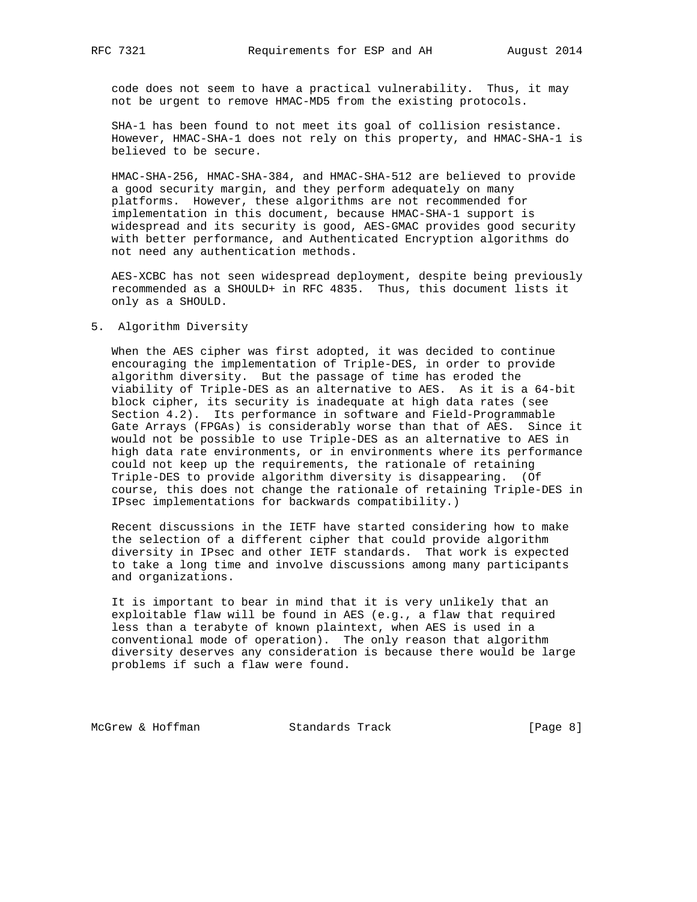code does not seem to have a practical vulnerability. Thus, it may not be urgent to remove HMAC-MD5 from the existing protocols.

 SHA-1 has been found to not meet its goal of collision resistance. However, HMAC-SHA-1 does not rely on this property, and HMAC-SHA-1 is believed to be secure.

 HMAC-SHA-256, HMAC-SHA-384, and HMAC-SHA-512 are believed to provide a good security margin, and they perform adequately on many platforms. However, these algorithms are not recommended for implementation in this document, because HMAC-SHA-1 support is widespread and its security is good, AES-GMAC provides good security with better performance, and Authenticated Encryption algorithms do not need any authentication methods.

 AES-XCBC has not seen widespread deployment, despite being previously recommended as a SHOULD+ in RFC 4835. Thus, this document lists it only as a SHOULD.

5. Algorithm Diversity

 When the AES cipher was first adopted, it was decided to continue encouraging the implementation of Triple-DES, in order to provide algorithm diversity. But the passage of time has eroded the viability of Triple-DES as an alternative to AES. As it is a 64-bit block cipher, its security is inadequate at high data rates (see Section 4.2). Its performance in software and Field-Programmable Gate Arrays (FPGAs) is considerably worse than that of AES. Since it would not be possible to use Triple-DES as an alternative to AES in high data rate environments, or in environments where its performance could not keep up the requirements, the rationale of retaining Triple-DES to provide algorithm diversity is disappearing. (Of course, this does not change the rationale of retaining Triple-DES in IPsec implementations for backwards compatibility.)

 Recent discussions in the IETF have started considering how to make the selection of a different cipher that could provide algorithm diversity in IPsec and other IETF standards. That work is expected to take a long time and involve discussions among many participants and organizations.

 It is important to bear in mind that it is very unlikely that an exploitable flaw will be found in AES (e.g., a flaw that required less than a terabyte of known plaintext, when AES is used in a conventional mode of operation). The only reason that algorithm diversity deserves any consideration is because there would be large problems if such a flaw were found.

McGrew & Hoffman Standards Track [Page 8]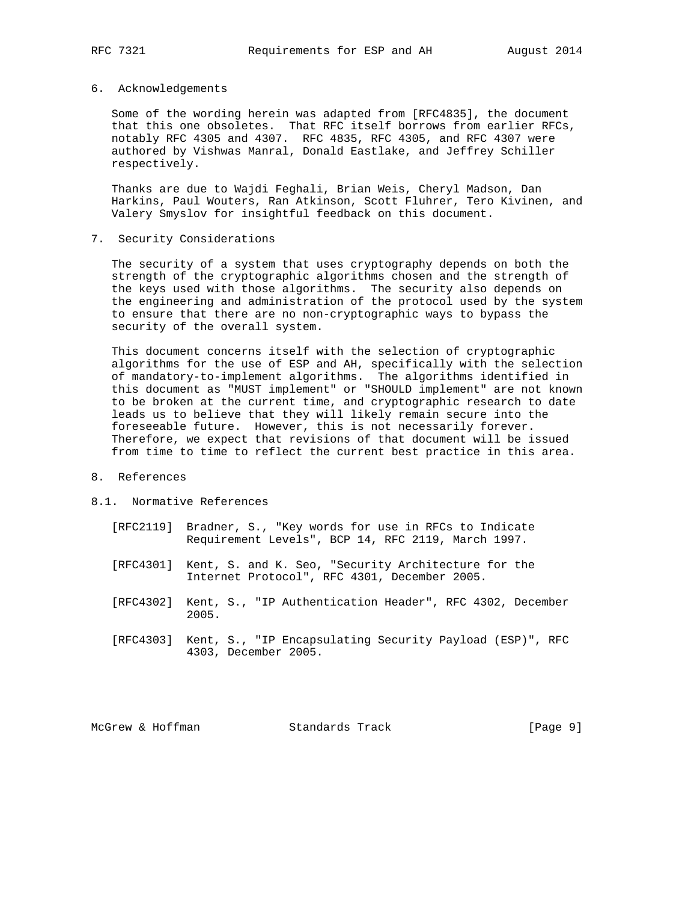### 6. Acknowledgements

 Some of the wording herein was adapted from [RFC4835], the document that this one obsoletes. That RFC itself borrows from earlier RFCs, notably RFC 4305 and 4307. RFC 4835, RFC 4305, and RFC 4307 were authored by Vishwas Manral, Donald Eastlake, and Jeffrey Schiller respectively.

 Thanks are due to Wajdi Feghali, Brian Weis, Cheryl Madson, Dan Harkins, Paul Wouters, Ran Atkinson, Scott Fluhrer, Tero Kivinen, and Valery Smyslov for insightful feedback on this document.

7. Security Considerations

 The security of a system that uses cryptography depends on both the strength of the cryptographic algorithms chosen and the strength of the keys used with those algorithms. The security also depends on the engineering and administration of the protocol used by the system to ensure that there are no non-cryptographic ways to bypass the security of the overall system.

 This document concerns itself with the selection of cryptographic algorithms for the use of ESP and AH, specifically with the selection of mandatory-to-implement algorithms. The algorithms identified in this document as "MUST implement" or "SHOULD implement" are not known to be broken at the current time, and cryptographic research to date leads us to believe that they will likely remain secure into the foreseeable future. However, this is not necessarily forever. Therefore, we expect that revisions of that document will be issued from time to time to reflect the current best practice in this area.

- 8. References
- 8.1. Normative References
	- [RFC2119] Bradner, S., "Key words for use in RFCs to Indicate Requirement Levels", BCP 14, RFC 2119, March 1997.
	- [RFC4301] Kent, S. and K. Seo, "Security Architecture for the Internet Protocol", RFC 4301, December 2005.
	- [RFC4302] Kent, S., "IP Authentication Header", RFC 4302, December 2005.
	- [RFC4303] Kent, S., "IP Encapsulating Security Payload (ESP)", RFC 4303, December 2005.

McGrew & Hoffman Standards Track [Page 9]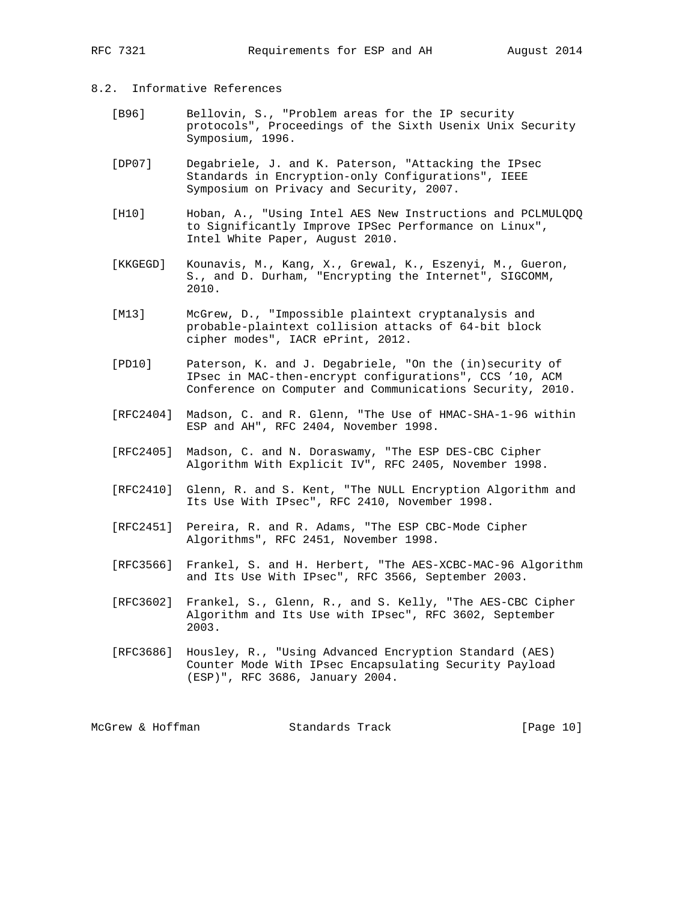## 8.2. Informative References

- [B96] Bellovin, S., "Problem areas for the IP security protocols", Proceedings of the Sixth Usenix Unix Security Symposium, 1996.
- [DP07] Degabriele, J. and K. Paterson, "Attacking the IPsec Standards in Encryption-only Configurations", IEEE Symposium on Privacy and Security, 2007.
- [H10] Hoban, A., "Using Intel AES New Instructions and PCLMULQDQ to Significantly Improve IPSec Performance on Linux", Intel White Paper, August 2010.
- [KKGEGD] Kounavis, M., Kang, X., Grewal, K., Eszenyi, M., Gueron, S., and D. Durham, "Encrypting the Internet", SIGCOMM, 2010.
- [M13] McGrew, D., "Impossible plaintext cryptanalysis and probable-plaintext collision attacks of 64-bit block cipher modes", IACR ePrint, 2012.
- [PD10] Paterson, K. and J. Degabriele, "On the (in)security of IPsec in MAC-then-encrypt configurations", CCS '10, ACM Conference on Computer and Communications Security, 2010.
- [RFC2404] Madson, C. and R. Glenn, "The Use of HMAC-SHA-1-96 within ESP and AH", RFC 2404, November 1998.
- [RFC2405] Madson, C. and N. Doraswamy, "The ESP DES-CBC Cipher Algorithm With Explicit IV", RFC 2405, November 1998.
- [RFC2410] Glenn, R. and S. Kent, "The NULL Encryption Algorithm and Its Use With IPsec", RFC 2410, November 1998.
- [RFC2451] Pereira, R. and R. Adams, "The ESP CBC-Mode Cipher Algorithms", RFC 2451, November 1998.
- [RFC3566] Frankel, S. and H. Herbert, "The AES-XCBC-MAC-96 Algorithm and Its Use With IPsec", RFC 3566, September 2003.
- [RFC3602] Frankel, S., Glenn, R., and S. Kelly, "The AES-CBC Cipher Algorithm and Its Use with IPsec", RFC 3602, September 2003.
- [RFC3686] Housley, R., "Using Advanced Encryption Standard (AES) Counter Mode With IPsec Encapsulating Security Payload (ESP)", RFC 3686, January 2004.

McGrew & Hoffman Standards Track [Page 10]